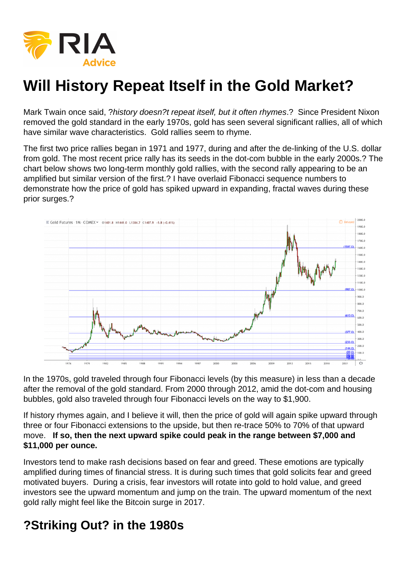

# **Will History Repeat Itself in the Gold Market?**

Mark Twain once said, ?history doesn?t repeat itself, but it often rhymes.? Since President Nixon removed the gold standard in the early 1970s, gold has seen several significant rallies, all of which have similar wave characteristics. Gold rallies seem to rhyme.

The first two price rallies began in 1971 and 1977, during and after the de-linking of the U.S. dollar from gold. The most recent price rally has its seeds in the dot-com bubble in the early 2000s.? The chart below shows two long-term monthly gold rallies, with the second rally appearing to be an amplified but similar version of the first.? I have overlaid Fibonacci sequence numbers to demonstrate how the price of gold has spiked upward in expanding, fractal waves during these prior surges.?



In the 1970s, gold traveled through four Fibonacci levels (by this measure) in less than a decade after the removal of the gold standard. From 2000 through 2012, amid the dot-com and housing bubbles, gold also traveled through four Fibonacci levels on the way to \$1,900.

If history rhymes again, and I believe it will, then the price of gold will again spike upward through three or four Fibonacci extensions to the upside, but then re-trace 50% to 70% of that upward move. **If so, then the next upward spike could peak in the range between \$7,000 and \$11,000 per ounce.**

Investors tend to make rash decisions based on fear and greed. These emotions are typically amplified during times of financial stress. It is during such times that gold solicits fear and greed motivated buyers. During a crisis, fear investors will rotate into gold to hold value, and greed investors see the upward momentum and jump on the train. The upward momentum of the next gold rally might feel like the Bitcoin surge in 2017.

### **?Striking Out? in the 1980s**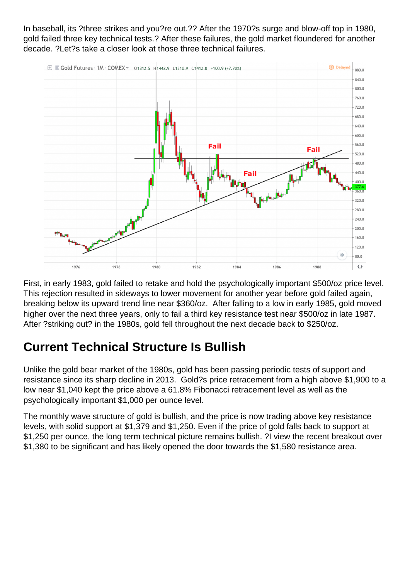In baseball, its ?three strikes and you?re out.?? After the 1970?s surge and blow-off top in 1980, gold failed three key technical tests.? After these failures, the gold market floundered for another decade. ?Let?s take a closer look at those three technical failures.



First, in early 1983, gold failed to retake and hold the psychologically important \$500/oz price level. This rejection resulted in sideways to lower movement for another year before gold failed again, breaking below its upward trend line near \$360/oz. After falling to a low in early 1985, gold moved higher over the next three years, only to fail a third key resistance test near \$500/oz in late 1987. After ?striking out? in the 1980s, gold fell throughout the next decade back to \$250/oz.

# **Current Technical Structure Is Bullish**

Unlike the gold bear market of the 1980s, gold has been passing periodic tests of support and resistance since its sharp decline in 2013. Gold?s price retracement from a high above \$1,900 to a low near \$1,040 kept the price above a 61.8% Fibonacci retracement level as well as the psychologically important \$1,000 per ounce level.

The monthly wave structure of gold is bullish, and the price is now trading above key resistance levels, with solid support at \$1,379 and \$1,250. Even if the price of gold falls back to support at \$1,250 per ounce, the long term technical picture remains bullish. ?I view the recent breakout over \$1,380 to be significant and has likely opened the door towards the \$1,580 resistance area.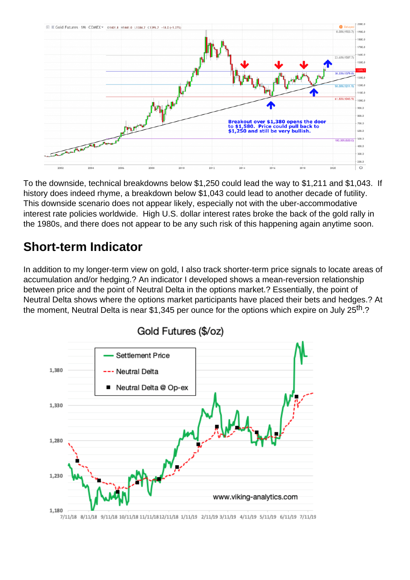

To the downside, technical breakdowns below \$1,250 could lead the way to \$1,211 and \$1,043. If history does indeed rhyme, a breakdown below \$1,043 could lead to another decade of futility. This downside scenario does not appear likely, especially not with the uber-accommodative interest rate policies worldwide. High U.S. dollar interest rates broke the back of the gold rally in the 1980s, and there does not appear to be any such risk of this happening again anytime soon.

#### **Short-term Indicator**

In addition to my longer-term view on gold, I also track shorter-term price signals to locate areas of accumulation and/or hedging.? An indicator I developed shows a mean-reversion relationship between price and the point of Neutral Delta in the options market.? Essentially, the point of Neutral Delta shows where the options market participants have placed their bets and hedges.? At the moment, Neutral Delta is near \$1,345 per ounce for the options which expire on July 25<sup>th</sup>.?



7/11/18 8/11/18 9/11/18 10/11/18 11/11/18 12/11/18 1/11/19 2/11/19 3/11/19 4/11/19 5/11/19 6/11/19 7/11/19